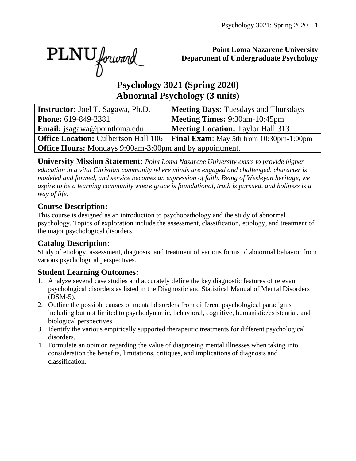PLNU forward

### **Point Loma Nazarene University Department of Undergraduate Psychology**

# **Psychology 3021 (Spring 2020) Abnormal Psychology (3 units)**

| <b>Instructor:</b> Joel T. Sagawa, Ph.D.                       | <b>Meeting Days: Tuesdays and Thursdays</b>           |  |  |  |  |  |  |
|----------------------------------------------------------------|-------------------------------------------------------|--|--|--|--|--|--|
| <b>Phone: 619-849-2381</b>                                     | <b>Meeting Times: 9:30am-10:45pm</b>                  |  |  |  |  |  |  |
| <b>Email:</b> jsagawa@pointloma.edu                            | <b>Meeting Location: Taylor Hall 313</b>              |  |  |  |  |  |  |
| <b>Office Location: Culbertson Hall 106</b>                    | <b>Final Exam:</b> May 5th from $10:30$ pm- $1:00$ pm |  |  |  |  |  |  |
| <b>Office Hours:</b> Mondays 9:00am-3:00pm and by appointment. |                                                       |  |  |  |  |  |  |

**University Mission Statement:** *Point Loma Nazarene University exists to provide higher education in a vital Christian community where minds are engaged and challenged, character is modeled and formed, and service becomes an expression of faith. Being of Wesleyan heritage, we aspire to be a learning community where grace is foundational, truth is pursued, and holiness is a way of life.*

### **Course Description:**

This course is designed as an introduction to psychopathology and the study of abnormal psychology. Topics of exploration include the assessment, classification, etiology, and treatment of the major psychological disorders.

# **Catalog Description:**

Study of etiology, assessment, diagnosis, and treatment of various forms of abnormal behavior from various psychological perspectives.

### **Student Learning Outcomes:**

- 1. Analyze several case studies and accurately define the key diagnostic features of relevant psychological disorders as listed in the Diagnostic and Statistical Manual of Mental Disorders (DSM-5).
- 2. Outline the possible causes of mental disorders from different psychological paradigms including but not limited to psychodynamic, behavioral, cognitive, humanistic/existential, and biological perspectives.
- 3. Identify the various empirically supported therapeutic treatments for different psychological disorders.
- 4. Formulate an opinion regarding the value of diagnosing mental illnesses when taking into consideration the benefits, limitations, critiques, and implications of diagnosis and classification.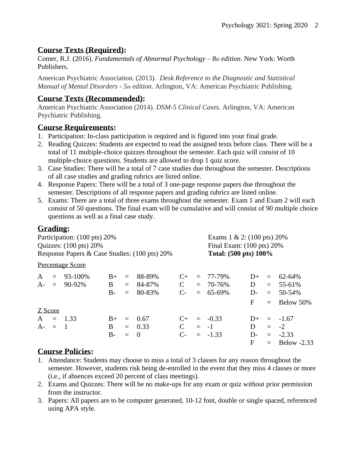# **Course Texts (Required):**

Comer, R.J. (2016). *Fundamentals of Abnormal Psychology – 8th edition*. New York: Worth Publishers.

American Psychiatric Association. (2013). *Desk Reference to the Diagnostic and Statistical Manual of Mental Disorders - 5th edition*. Arlington, VA: American Psychiatric Publishing.

### **Course Texts (Recommended):**

American Psychiatric Association (2014). *DSM-5 Clinical Cases.* Arlington, VA: American Psychiatric Publishing.

# **Course Requirements:**

- 1. Participation: In-class participation is required and is figured into your final grade.
- 2. Reading Quizzes: Students are expected to read the assigned texts before class. There will be a total of 11 multiple-choice quizzes throughout the semester. Each quiz will consist of 10 multiple-choice questions. Students are allowed to drop 1 quiz score.
- 3. Case Studies: There will be a total of 7 case studies due throughout the semester. Descriptions of all case studies and grading rubrics are listed online.
- 4. Response Papers: There will be a total of 3 one-page response papers due throughout the semester. Descriptions of all response papers and grading rubrics are listed online.
- 5. Exams: There are a total of three exams throughout the semester. Exam 1 and Exam 2 will each consist of 50 questions. The final exam will be cumulative and will consist of 90 multiple choice questions as well as a final case study.

# **Grading:**

| Participation: (100 pts) 20%<br>Quizzes: $(100 \text{ pts}) 20\%$<br>Response Papers & Case Studies: (100 pts) 20% |           |                  |       |     |                   |             | Exams $1 \& 2$ : (100 pts) 20%       |                       |       |     |                 |
|--------------------------------------------------------------------------------------------------------------------|-----------|------------------|-------|-----|-------------------|-------------|--------------------------------------|-----------------------|-------|-----|-----------------|
|                                                                                                                    |           |                  |       |     |                   |             | Final Exam: $(100 \text{ pts}) 20\%$ |                       |       |     |                 |
|                                                                                                                    |           |                  |       |     |                   |             |                                      | Total: (500 pts) 100% |       |     |                 |
|                                                                                                                    |           | Percentage Score |       |     |                   |             |                                      |                       |       |     |                 |
| $\mathbf{A}$                                                                                                       |           | $= 93 - 100\%$   | $B+$  | $=$ | 88-89%            | $C_{\pm}$   |                                      | $= 77 - 79\%$         | $1+$  |     | $= 62-64\%$     |
|                                                                                                                    |           | $A - = 90-92\%$  | B     | $=$ | 84-87%            | $\mathbf C$ |                                      | $= 70 - 76\%$         | D     |     | $= 55-61\%$     |
|                                                                                                                    |           |                  | $B -$ | $=$ | 80-83%            | $C_{\tau}$  |                                      | $= 65-69\%$           | $D-$  |     | $= 50-54\%$     |
|                                                                                                                    |           |                  |       |     |                   |             |                                      |                       | F     |     | $=$ Below 50%   |
|                                                                                                                    | Z Score   |                  |       |     |                   |             |                                      |                       |       |     |                 |
|                                                                                                                    |           | $A = 1.33$       | $B+$  | $=$ | 0.67              | $C_{\pm}$   |                                      | $= -0.33$             | $D+$  |     | $=$ -1.67       |
|                                                                                                                    | $A - = 1$ |                  | B.    |     | $= 0.33$          | $\mathbf C$ |                                      | $= -1$                | D     | $=$ | $-2$            |
|                                                                                                                    |           |                  | $B-$  | $=$ | $\hspace{0.6cm}0$ | $C$ -       |                                      | $= -1.33$             | $D$ - |     | $= -2.33$       |
|                                                                                                                    |           |                  |       |     |                   |             |                                      |                       | F     |     | $=$ Below -2.33 |

# **Course Policies:**

- 1. Attendance: Students may choose to miss a total of 3 classes for any reason throughout the semester. However, students risk being de-enrolled in the event that they miss 4 classes or more (i.e., if absences exceed 20 percent of class meetings).
- 2. Exams and Quizzes: There will be no make-ups for any exam or quiz without prior permission from the instructor.
- 3. Papers: All papers are to be computer generated, 10-12 font, double or single spaced, referenced using APA style.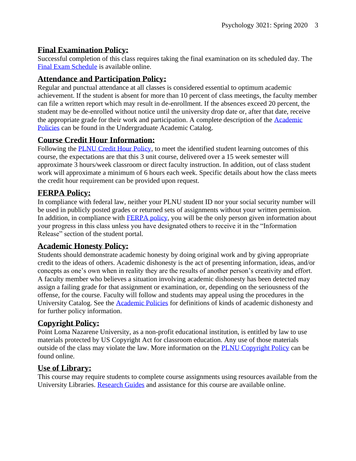#### **Final Examination Policy:**

Successful completion of this class requires taking the final examination on its scheduled day. The [Final Exam Schedule](http://www.pointloma.edu/experience/academics/class-schedules) is available online.

### **Attendance and Participation Policy:**

Regular and punctual attendance at all classes is considered essential to optimum academic achievement. If the student is absent for more than 10 percent of class meetings, the faculty member can file a written report which may result in de-enrollment. If the absences exceed 20 percent, the student may be de-enrolled without notice until the university drop date or, after that date, receive the appropriate grade for their work and participation. A complete description of the [Academic](https://catalog.pointloma.edu/content.php?catoid=18&navoid=1278#Class_Attendance)  [Policies](https://catalog.pointloma.edu/content.php?catoid=18&navoid=1278#Class_Attendance) can be found in the Undergraduate Academic Catalog.

### **Course Credit Hour Information:**

Following the [PLNU Credit Hour Policy,](http://catalog.pointloma.edu/content.php?catoid=18&navoid=1278#Credit_Hour_Definition) to meet the identified student learning outcomes of this course, the expectations are that this 3 unit course, delivered over a 15 week semester will approximate 3 hours/week classroom or direct faculty instruction. In addition, out of class student work will approximate a minimum of 6 hours each week. Specific details about how the class meets the credit hour requirement can be provided upon request.

### **FERPA Policy:**

In compliance with federal law, neither your PLNU student ID nor your social security number will be used in publicly posted grades or returned sets of assignments without your written permission. In addition, in compliance with **FERPA** policy, you will be the only person given information about your progress in this class unless you have designated others to receive it in the "Information Release" section of the student portal.

#### **Academic Honesty Policy:**

Students should demonstrate academic honesty by doing original work and by giving appropriate credit to the ideas of others. Academic dishonesty is the act of presenting information, ideas, and/or concepts as one's own when in reality they are the results of another person's creativity and effort. A faculty member who believes a situation involving academic dishonesty has been detected may assign a failing grade for that assignment or examination, or, depending on the seriousness of the offense, for the course. Faculty will follow and students may appeal using the procedures in the University Catalog. See the **Academic Policies** for definitions of kinds of academic dishonesty and for further policy information.

### **Copyright Policy:**

Point Loma Nazarene University, as a non-profit educational institution, is entitled by law to use materials protected by US Copyright Act for classroom education. Any use of those materials outside of the class may violate the law. More information on the [PLNU Copyright Policy](http://libguides.pointloma.edu/content.php?pid=203591&sid=1700398) can be found online.

#### **Use of Library:**

This course may require students to complete course assignments using resources available from the University Libraries. [Research Guides](http://libguides.pointloma.edu/ResearchGuides) and assistance for this course are available online.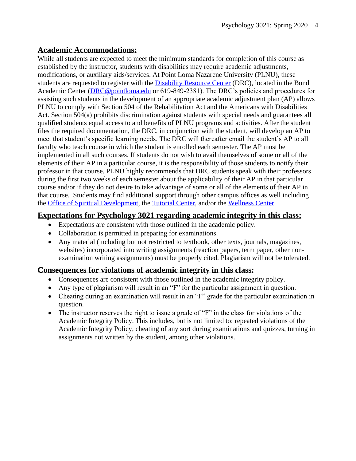#### **Academic Accommodations:**

While all students are expected to meet the minimum standards for completion of this course as established by the instructor, students with disabilities may require academic adjustments, modifications, or auxiliary aids/services. At Point Loma Nazarene University (PLNU), these students are requested to register with the [Disability Resource Center](http://www.pointloma.edu/experience/offices/administrative-offices/academic-advising-office/disability-resource-center) (DRC), located in the Bond Academic Center [\(DRC@pointloma.edu](mailto:DRC@pointloma.edu) or 619-849-2381). The DRC's policies and procedures for assisting such students in the development of an appropriate academic adjustment plan (AP) allows PLNU to comply with Section 504 of the Rehabilitation Act and the Americans with Disabilities Act. Section 504(a) prohibits discrimination against students with special needs and guarantees all qualified students equal access to and benefits of PLNU programs and activities. After the student files the required documentation, the DRC, in conjunction with the student, will develop an AP to meet that student's specific learning needs. The DRC will thereafter email the student's AP to all faculty who teach course in which the student is enrolled each semester. The AP must be implemented in all such courses. If students do not wish to avail themselves of some or all of the elements of their AP in a particular course, it is the responsibility of those students to notify their professor in that course. PLNU highly recommends that DRC students speak with their professors during the first two weeks of each semester about the applicability of their AP in that particular course and/or if they do not desire to take advantage of some or all of the elements of their AP in that course. Students may find additional support through other campus offices as well including the [Office of Spiritual Development,](https://www.pointloma.edu/offices/spiritual-development) the [Tutorial Center,](https://www.pointloma.edu/offices/tutorial-services) and/or the [Wellness Center.](https://www.pointloma.edu/offices/wellness-center)

#### **Expectations for Psychology 3021 regarding academic integrity in this class:**

- Expectations are consistent with those outlined in the academic policy.
- Collaboration is permitted in preparing for examinations.
- Any material (including but not restricted to textbook, other texts, journals, magazines, websites) incorporated into writing assignments (reaction papers, term paper, other nonexamination writing assignments) must be properly cited. Plagiarism will not be tolerated.

### **Consequences for violations of academic integrity in this class:**

- Consequences are consistent with those outlined in the academic integrity policy.
- Any type of plagiarism will result in an "F" for the particular assignment in question.
- Cheating during an examination will result in an "F" grade for the particular examination in question.
- The instructor reserves the right to issue a grade of "F" in the class for violations of the Academic Integrity Policy. This includes, but is not limited to: repeated violations of the Academic Integrity Policy, cheating of any sort during examinations and quizzes, turning in assignments not written by the student, among other violations.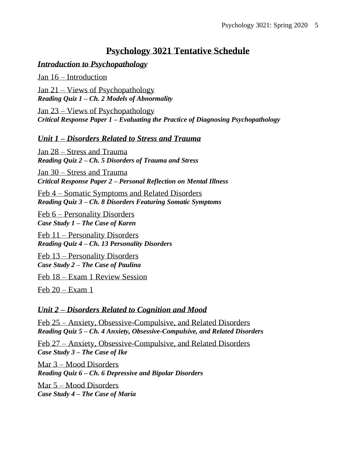# **Psychology 3021 Tentative Schedule**

#### *Introduction to Psychopathology*

Jan 16 – Introduction

Jan 21 – Views of Psychopathology *Reading Quiz 1 – Ch. 2 Models of Abnormality*

Jan 23 – Views of Psychopathology *Critical Response Paper 1 – Evaluating the Practice of Diagnosing Psychopathology*

*Unit 1 – Disorders Related to Stress and Trauma*

Jan 28 – Stress and Trauma *Reading Quiz 2 – Ch. 5 Disorders of Trauma and Stress*

Jan 30 – Stress and Trauma *Critical Response Paper 2 – Personal Reflection on Mental Illness*

Feb 4 – Somatic Symptoms and Related Disorders *Reading Quiz 3 – Ch. 8 Disorders Featuring Somatic Symptoms*

Feb 6 – Personality Disorders *Case Study 1 – The Case of Karen*

Feb 11 – Personality Disorders *Reading Quiz 4 – Ch. 13 Personality Disorders*

Feb 13 – Personality Disorders *Case Study 2 – The Case of Paulina*

Feb 18 – Exam 1 Review Session

Feb  $20 - Exam$  1

#### *Unit 2 – Disorders Related to Cognition and Mood*

Feb 25 – Anxiety, Obsessive-Compulsive, and Related Disorders *Reading Quiz 5 – Ch. 4 Anxiety, Obsessive-Compulsive, and Related Disorders*

Feb 27 – Anxiety, Obsessive-Compulsive, and Related Disorders *Case Study 3 – The Case of Ike*

Mar 3 – Mood Disorders *Reading Quiz 6 – Ch. 6 Depressive and Bipolar Disorders*

Mar 5 – Mood Disorders *Case Study 4 – The Case of Maria*